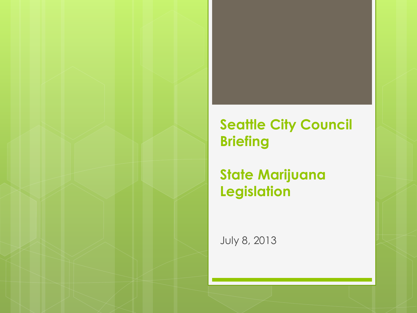### **Seattle City Council Briefing**

### **State Marijuana Legislation**

July 8, 2013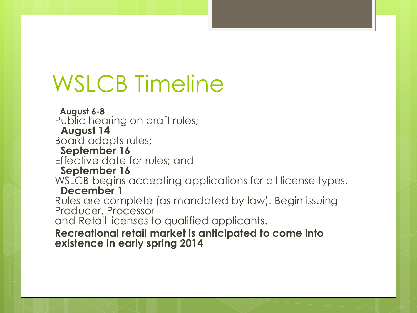# WSLCB Timeline

 **August 6-8** Public hearing on draft rules; **August 14** Board adopts rules; **September 16** Effective date for rules; and **September 16** WSLCB begins accepting applications for all license types. **December 1**  Rules are complete (as mandated by law). Begin issuing Producer, Processor and Retail licenses to qualified applicants. **Recreational retail market is anticipated to come into existence in early spring 2014**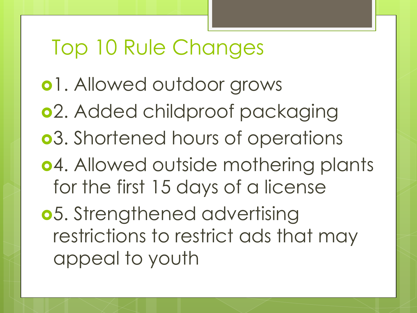## Top 10 Rule Changes

- o1. Allowed outdoor grows 2. Added childproof packaging 3. Shortened hours of operations 4. Allowed outside mothering plants for the first 15 days of a license 5. Strengthened advertising
	- restrictions to restrict ads that may appeal to youth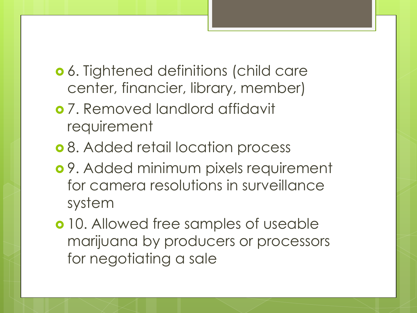- 6. Tightened definitions (child care center, financier, library, member)
- 7. Removed landlord affidavit requirement
- o 8. Added retail location process
- 9. Added minimum pixels requirement for camera resolutions in surveillance system
- **o** 10. Allowed free samples of useable marijuana by producers or processors for negotiating a sale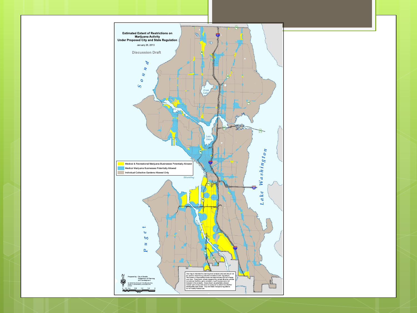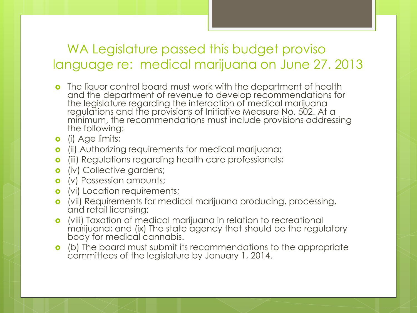#### WA Legislature passed this budget proviso language re: medical marijuana on June 27. 2013

- **o** The liquor control board must work with the department of health and the department of revenue to develop recommendations for the legislature regarding the interaction of medical marijuana regulations and the provisions of Initiative Measure No. 502. At a minimum, the recommendations must include provisions addressing the following:
- **o** (i) Age limits;
- **o** (ii) Authorizing requirements for medical marijuana;
- **o** (iii) Regulations regarding health care professionals;
- **o** (iv) Collective gardens;
- **o** (v) Possession amounts;
- **o** (vi) Location requirements;
- (vii) Requirements for medical marijuana producing, processing, and retail licensing;
- (viii) Taxation of medical marijuana in relation to recreational marijuana; and (ix) The state agency that should be the regulatory body for medical cannabis.
- (b) The board must submit its recommendations to the appropriate committees of the legislature by January 1, 2014.